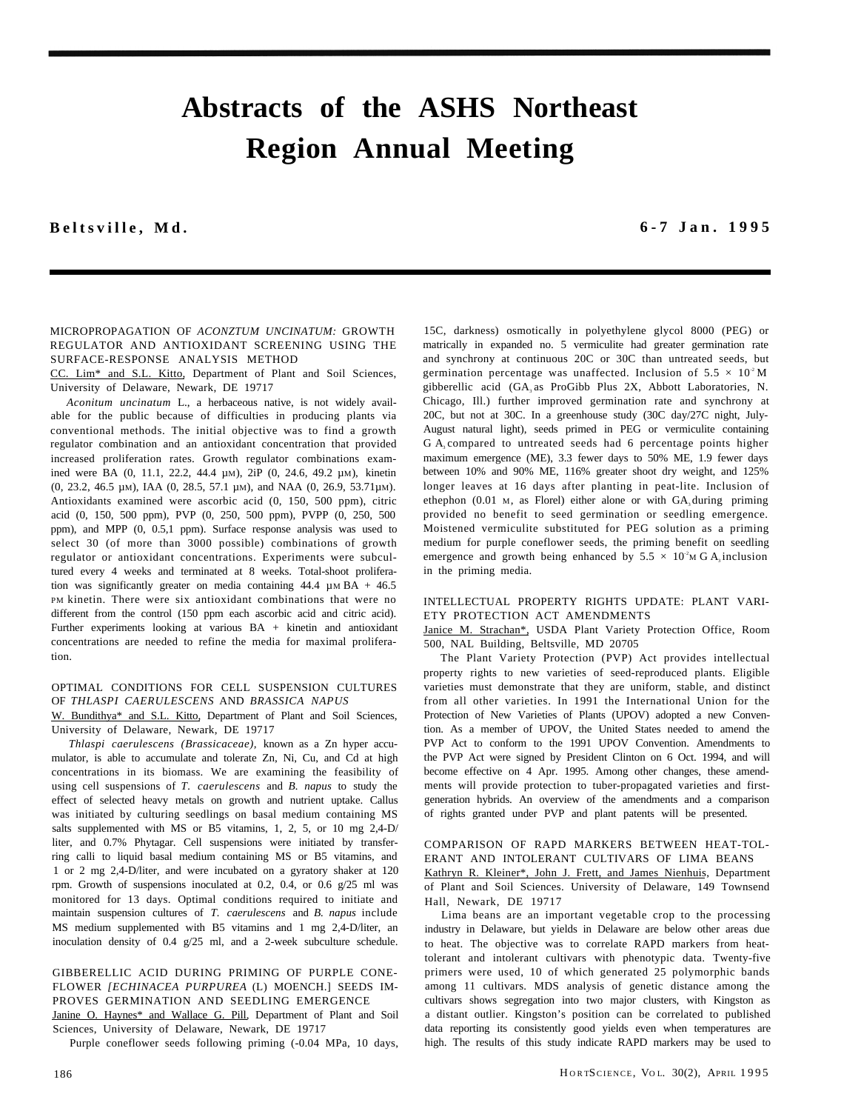# **Abstracts of the ASHS Northeast Region Annual Meeting**

**Beltsville, Md . 6-7 Jan. 199 5**

#### MICROPROPAGATION OF *ACONZTUM UNCINATUM:* GROWTH REGULATOR AND ANTIOXIDANT SCREENING USING THE SURFACE-RESPONSE ANALYSIS METHOD

CC. Lim\* and S.L. Kitto, Department of Plant and Soil Sciences, University of Delaware, Newark, DE 19717

*Aconitum uncinatum* L., a herbaceous native, is not widely available for the public because of difficulties in producing plants via conventional methods. The initial objective was to find a growth regulator combination and an antioxidant concentration that provided increased proliferation rates. Growth regulator combinations examined were BA (0, 11.1, 22.2, 44.4 µM), 2iP (0, 24.6, 49.2 µM), kinetin (0, 23.2, 46.5 µM), IAA (0, 28.5, 57.1 µM), and NAA (0, 26.9, 53.71µM). Antioxidants examined were ascorbic acid (0, 150, 500 ppm), citric acid (0, 150, 500 ppm), PVP (0, 250, 500 ppm), PVPP (0, 250, 500 ppm), and MPP (0, 0.5,1 ppm). Surface response analysis was used to select 30 (of more than 3000 possible) combinations of growth regulator or antioxidant concentrations. Experiments were subcultured every 4 weeks and terminated at 8 weeks. Total-shoot proliferation was significantly greater on media containing  $44.4 \mu M BA + 46.5$ PM kinetin. There were six antioxidant combinations that were no different from the control (150 ppm each ascorbic acid and citric acid). Further experiments looking at various BA + kinetin and antioxidant concentrations are needed to refine the media for maximal proliferation.

# OPTIMAL CONDITIONS FOR CELL SUSPENSION CULTURES OF *THLASPI CAERULESCENS* AND *BRASSICA NAPUS*

W. Bundithya\* and S.L. Kitto, Department of Plant and Soil Sciences, University of Delaware, Newark, DE 19717

*Thlaspi caerulescens (Brassicaceae),* known as a Zn hyper accumulator, is able to accumulate and tolerate Zn, Ni, Cu, and Cd at high concentrations in its biomass. We are examining the feasibility of using cell suspensions of *T. caerulescens* and *B. napus* to study the effect of selected heavy metals on growth and nutrient uptake. Callus was initiated by culturing seedlings on basal medium containing MS salts supplemented with MS or B5 vitamins, 1, 2, 5, or 10 mg 2,4-D/ liter, and 0.7% Phytagar. Cell suspensions were initiated by transferring calli to liquid basal medium containing MS or B5 vitamins, and 1 or 2 mg 2,4-D/liter, and were incubated on a gyratory shaker at 120 rpm. Growth of suspensions inoculated at 0.2, 0.4, or 0.6  $g/25$  ml was monitored for 13 days. Optimal conditions required to initiate and maintain suspension cultures of *T. caerulescens* and *B. napus* include MS medium supplemented with B5 vitamins and 1 mg 2,4-D/liter, an inoculation density of 0.4 g/25 ml, and a 2-week subculture schedule.

#### GIBBERELLIC ACID DURING PRIMING OF PURPLE CONE-FLOWER *[ECHINACEA PURPUREA* (L) MOENCH.] SEEDS IM-PROVES GERMINATION AND SEEDLING EMERGENCE

Janine O. Haynes\* and Wallace G. Pill, Department of Plant and Soil Sciences, University of Delaware, Newark, DE 19717

Purple coneflower seeds following priming (-0.04 MPa, 10 days,

15C, darkness) osmotically in polyethylene glycol 8000 (PEG) or matrically in expanded no. 5 vermiculite had greater germination rate and synchrony at continuous 20C or 30C than untreated seeds, but germination percentage was unaffected. Inclusion of  $5.5 \times 10^{2}$  M gibberellic acid (GA<sub>3</sub> as ProGibb Plus 2X, Abbott Laboratories, N. Chicago, Ill.) further improved germination rate and synchrony at 20C, but not at 30C. In a greenhouse study (30C day/27C night, July-August natural light), seeds primed in PEG or vermiculite containing G A<sub>3</sub> compared to untreated seeds had 6 percentage points higher maximum emergence (ME), 3.3 fewer days to 50% ME, 1.9 fewer days between 10% and 90% ME, 116% greater shoot dry weight, and 125% longer leaves at 16 days after planting in peat-lite. Inclusion of ethephon  $(0.01 \text{ M})$ , as Florel) either alone or with GA, during priming provided no benefit to seed germination or seedling emergence. Moistened vermiculite substituted for PEG solution as a priming medium for purple coneflower seeds, the priming benefit on seedling emergence and growth being enhanced by  $5.5 \times 10^2$ M G A<sub>3</sub> inclusion in the priming media.

#### INTELLECTUAL PROPERTY RIGHTS UPDATE: PLANT VARI-ETY PROTECTION ACT AMENDMENTS

Janice M. Strachan\*, USDA Plant Variety Protection Office, Room 500, NAL Building, Beltsville, MD 20705

The Plant Variety Protection (PVP) Act provides intellectual property rights to new varieties of seed-reproduced plants. Eligible varieties must demonstrate that they are uniform, stable, and distinct from all other varieties. In 1991 the International Union for the Protection of New Varieties of Plants (UPOV) adopted a new Convention. As a member of UPOV, the United States needed to amend the PVP Act to conform to the 1991 UPOV Convention. Amendments to the PVP Act were signed by President Clinton on 6 Oct. 1994, and will become effective on 4 Apr. 1995. Among other changes, these amendments will provide protection to tuber-propagated varieties and firstgeneration hybrids. An overview of the amendments and a comparison of rights granted under PVP and plant patents will be presented.

#### COMPARISON OF RAPD MARKERS BETWEEN HEAT-TOL-ERANT AND INTOLERANT CULTIVARS OF LIMA BEANS Kathryn R. Kleiner\*, John J. Frett, and James Nienhuis, Department

of Plant and Soil Sciences. University of Delaware, 149 Townsend Hall, Newark, DE 19717

Lima beans are an important vegetable crop to the processing industry in Delaware, but yields in Delaware are below other areas due to heat. The objective was to correlate RAPD markers from heattolerant and intolerant cultivars with phenotypic data. Twenty-five primers were used, 10 of which generated 25 polymorphic bands among 11 cultivars. MDS analysis of genetic distance among the cultivars shows segregation into two major clusters, with Kingston as a distant outlier. Kingston's position can be correlated to published data reporting its consistently good yields even when temperatures are high. The results of this study indicate RAPD markers may be used to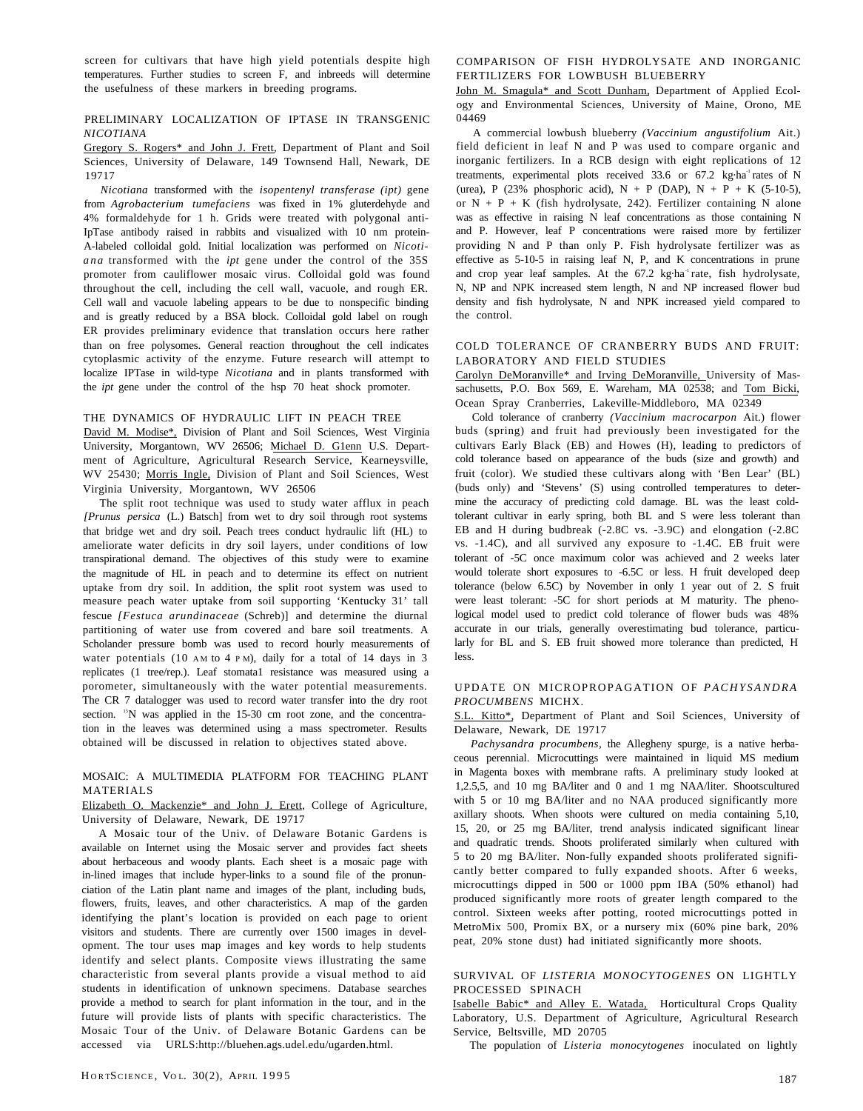screen for cultivars that have high yield potentials despite high temperatures. Further studies to screen F, and inbreeds will determine the usefulness of these markers in breeding programs.

# PRELIMINARY LOCALIZATION OF IPTASE IN TRANSGENIC *NICOTIANA*

Gregory S. Rogers\* and John J. Frett, Department of Plant and Soil Sciences, University of Delaware, 149 Townsend Hall, Newark, DE 19717

*Nicotiana* transformed with the *isopentenyl transferase (ipt)* gene from *Agrobacterium tumefaciens* was fixed in 1% gluterdehyde and 4% formaldehyde for 1 h. Grids were treated with polygonal anti-IpTase antibody raised in rabbits and visualized with 10 nm protein-A-labeled colloidal gold. Initial localization was performed on *Nicotiana* transformed with the *ipt* gene under the control of the 35S promoter from cauliflower mosaic virus. Colloidal gold was found throughout the cell, including the cell wall, vacuole, and rough ER. Cell wall and vacuole labeling appears to be due to nonspecific binding and is greatly reduced by a BSA block. Colloidal gold label on rough ER provides preliminary evidence that translation occurs here rather than on free polysomes. General reaction throughout the cell indicates cytoplasmic activity of the enzyme. Future research will attempt to localize IPTase in wild-type *Nicotiana* and in plants transformed with the *ipt* gene under the control of the hsp 70 heat shock promoter.

#### THE DYNAMICS OF HYDRAULIC LIFT IN PEACH TREE

David M. Modise\*, Division of Plant and Soil Sciences, West Virginia University, Morgantown, WV 26506; Michael D. G1enn U.S. Department of Agriculture, Agricultural Research Service, Kearneysville, WV 25430; Morris Ingle, Division of Plant and Soil Sciences, West Virginia University, Morgantown, WV 26506

The split root technique was used to study water afflux in peach *[Prunus persica* (L.) Batsch] from wet to dry soil through root systems that bridge wet and dry soil. Peach trees conduct hydraulic lift (HL) to ameliorate water deficits in dry soil layers, under conditions of low transpirational demand. The objectives of this study were to examine the magnitude of HL in peach and to determine its effect on nutrient uptake from dry soil. In addition, the split root system was used to measure peach water uptake from soil supporting 'Kentucky 31' tall fescue *[Festuca arundinaceae* (Schreb)] and determine the diurnal partitioning of water use from covered and bare soil treatments. A Scholander pressure bomb was used to record hourly measurements of water potentials (10 AM to 4 P M), daily for a total of 14 days in 3 replicates (1 tree/rep.). Leaf stomata1 resistance was measured using a porometer, simultaneously with the water potential measurements. The CR 7 datalogger was used to record water transfer into the dry root section. <sup>15</sup>N was applied in the 15-30 cm root zone, and the concentration in the leaves was determined using a mass spectrometer. Results obtained will be discussed in relation to objectives stated above.

#### MOSAIC: A MULTIMEDIA PLATFORM FOR TEACHING PLANT MATERIALS

Elizabeth O. Mackenzie\* and John J. Erett, College of Agriculture, University of Delaware, Newark, DE 19717

A Mosaic tour of the Univ. of Delaware Botanic Gardens is available on Internet using the Mosaic server and provides fact sheets about herbaceous and woody plants. Each sheet is a mosaic page with in-lined images that include hyper-links to a sound file of the pronunciation of the Latin plant name and images of the plant, including buds, flowers, fruits, leaves, and other characteristics. A map of the garden identifying the plant's location is provided on each page to orient visitors and students. There are currently over 1500 images in development. The tour uses map images and key words to help students identify and select plants. Composite views illustrating the same characteristic from several plants provide a visual method to aid students in identification of unknown specimens. Database searches provide a method to search for plant information in the tour, and in the future will provide lists of plants with specific characteristics. The Mosaic Tour of the Univ. of Delaware Botanic Gardens can be accessed via URLS:http://bluehen.ags.udel.edu/ugarden.html.

#### COMPARISON OF FISH HYDROLYSATE AND INORGANIC FERTILIZERS FOR LOWBUSH BLUEBERRY

John M. Smagula\* and Scott Dunham, Department of Applied Ecology and Environmental Sciences, University of Maine, Orono, ME 04469

A commercial lowbush blueberry *(Vaccinium angustifolium* Ait.) field deficient in leaf N and P was used to compare organic and inorganic fertilizers. In a RCB design with eight replications of 12 treatments, experimental plots received  $33.6$  or  $67.2$  kg·ha<sup>-1</sup> rates of N (urea), P (23% phosphoric acid), N + P (DAP), N + P + K (5-10-5), or  $N + P + K$  (fish hydrolysate, 242). Fertilizer containing N alone was as effective in raising N leaf concentrations as those containing N and P. However, leaf P concentrations were raised more by fertilizer providing N and P than only P. Fish hydrolysate fertilizer was as effective as 5-10-5 in raising leaf N, P, and K concentrations in prune and crop year leaf samples. At the 67.2 kg·ha<sup>-1</sup> rate, fish hydrolysate, N, NP and NPK increased stem length, N and NP increased flower bud density and fish hydrolysate, N and NPK increased yield compared to the control.

#### COLD TOLERANCE OF CRANBERRY BUDS AND FRUIT: LABORATORY AND FIELD STUDIES

Carolyn DeMoranville\* and Irving DeMoranville, University of Massachusetts, P.O. Box 569, E. Wareham, MA 02538; and Tom Bicki, Ocean Spray Cranberries, Lakeville-Middleboro, MA 02349

Cold tolerance of cranberry *(Vaccinium macrocarpon* Ait.) flower buds (spring) and fruit had previously been investigated for the cultivars Early Black (EB) and Howes (H), leading to predictors of cold tolerance based on appearance of the buds (size and growth) and fruit (color). We studied these cultivars along with 'Ben Lear' (BL) (buds only) and 'Stevens' (S) using controlled temperatures to determine the accuracy of predicting cold damage. BL was the least coldtolerant cultivar in early spring, both BL and S were less tolerant than EB and H during budbreak (-2.8C vs. -3.9C) and elongation (-2.8C vs. -1.4C), and all survived any exposure to -1.4C. EB fruit were tolerant of -5C once maximum color was achieved and 2 weeks later would tolerate short exposures to -6.5C or less. H fruit developed deep tolerance (below 6.5C) by November in only 1 year out of 2. S fruit were least tolerant: -5C for short periods at M maturity. The phenological model used to predict cold tolerance of flower buds was 48% accurate in our trials, generally overestimating bud tolerance, particularly for BL and S. EB fruit showed more tolerance than predicted, H less.

#### UPDATE ON MICROPROPAGATION OF *PACHYSANDRA PROCUMBENS* MICHX.

S.L. Kitto\*, Department of Plant and Soil Sciences, University of Delaware, Newark, DE 19717

*Pachysandra procumbens,* the Allegheny spurge, is a native herbaceous perennial. Microcuttings were maintained in liquid MS medium in Magenta boxes with membrane rafts. A preliminary study looked at 1,2.5,5, and 10 mg BA/liter and 0 and 1 mg NAA/liter. Shootscultured with 5 or 10 mg BA/liter and no NAA produced significantly more axillary shoots. When shoots were cultured on media containing 5,10, 15, 20, or 25 mg BA/liter, trend analysis indicated significant linear and quadratic trends. Shoots proliferated similarly when cultured with 5 to 20 mg BA/liter. Non-fully expanded shoots proliferated significantly better compared to fully expanded shoots. After 6 weeks, microcuttings dipped in 500 or 1000 ppm IBA (50% ethanol) had produced significantly more roots of greater length compared to the control. Sixteen weeks after potting, rooted microcuttings potted in MetroMix 500, Promix BX, or a nursery mix (60% pine bark, 20% peat, 20% stone dust) had initiated significantly more shoots.

# SURVIVAL OF *LISTERIA MONOCYTOGENES* ON LIGHTLY PROCESSED SPINACH

Isabelle Babic\* and Alley E. Watada, Horticultural Crops Quality Laboratory, U.S. Department of Agriculture, Agricultural Research Service, Beltsville, MD 20705

The population of *Listeria monocytogenes* inoculated on lightly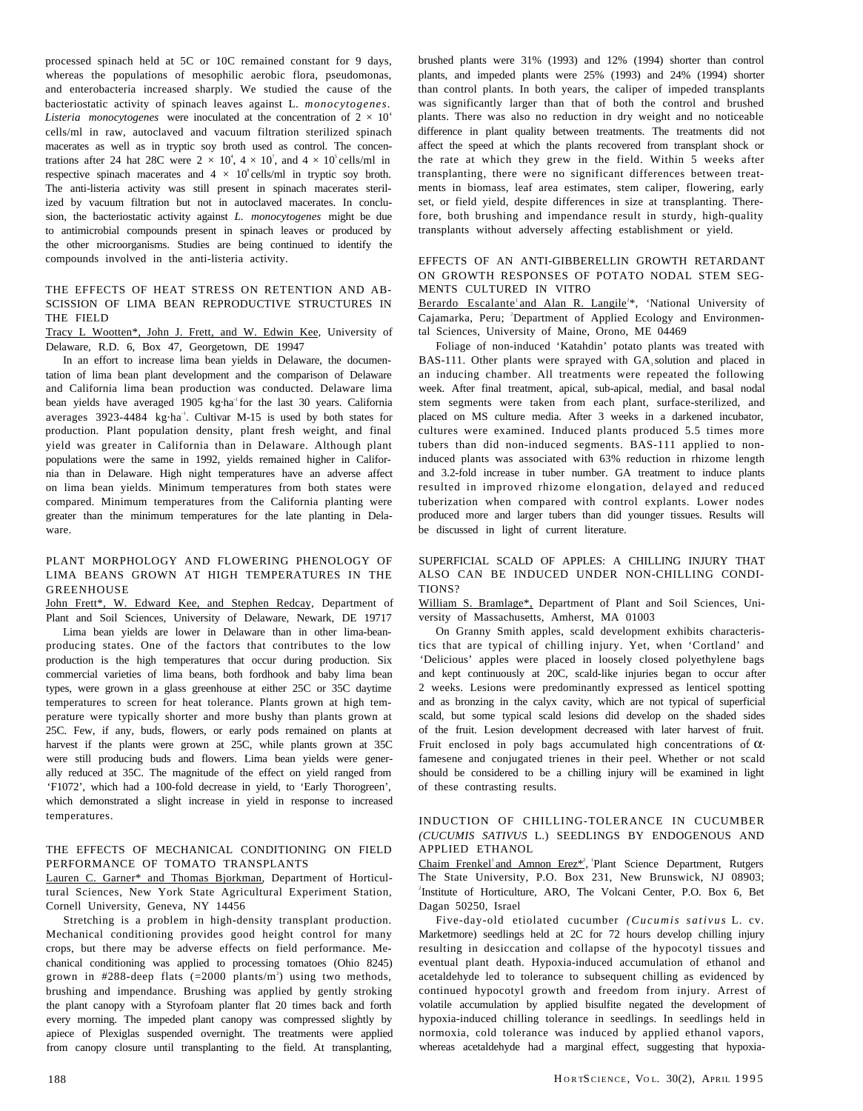processed spinach held at 5C or 10C remained constant for 9 days, whereas the populations of mesophilic aerobic flora, pseudomonas, and enterobacteria increased sharply. We studied the cause of the bacteriostatic activity of spinach leaves against L. *monocytogenes. Listeria monocytogenes* were inoculated at the concentration of  $2 \times 10^4$ cells/ml in raw, autoclaved and vacuum filtration sterilized spinach macerates as well as in tryptic soy broth used as control. The concentrations after 24 hat 28C were  $2 \times 10^4$ ,  $4 \times 10^7$ , and  $4 \times 10^5$  cells/ml in respective spinach macerates and  $4 \times 10^8$  cells/ml in tryptic soy broth. The anti-listeria activity was still present in spinach macerates sterilized by vacuum filtration but not in autoclaved macerates. In conclusion, the bacteriostatic activity against *L. monocytogenes* might be due to antimicrobial compounds present in spinach leaves or produced by the other microorganisms. Studies are being continued to identify the compounds involved in the anti-listeria activity.

#### THE EFFECTS OF HEAT STRESS ON RETENTION AND AB-SCISSION OF LIMA BEAN REPRODUCTIVE STRUCTURES IN THE FIELD

Tracy L Wootten\*, John J. Frett, and W. Edwin Kee, University of Delaware, R.D. 6, Box 47, Georgetown, DE 19947

In an effort to increase lima bean yields in Delaware, the documentation of lima bean plant development and the comparison of Delaware and California lima bean production was conducted. Delaware lima bean yields have averaged 1905 kg·ha<sup>1</sup> for the last 30 years. California averages  $3923-4484$  kg·ha<sup>-1</sup>. Cultivar M-15 is used by both states for production. Plant population density, plant fresh weight, and final yield was greater in California than in Delaware. Although plant populations were the same in 1992, yields remained higher in California than in Delaware. High night temperatures have an adverse affect on lima bean yields. Minimum temperatures from both states were compared. Minimum temperatures from the California planting were greater than the minimum temperatures for the late planting in Delaware.

# PLANT MORPHOLOGY AND FLOWERING PHENOLOGY OF LIMA BEANS GROWN AT HIGH TEMPERATURES IN THE GREENHOUSE

John Frett\*, W. Edward Kee, and Stephen Redcay, Department of Plant and Soil Sciences, University of Delaware, Newark, DE 19717

Lima bean yields are lower in Delaware than in other lima-beanproducing states. One of the factors that contributes to the low production is the high temperatures that occur during production. Six commercial varieties of lima beans, both fordhook and baby lima bean types, were grown in a glass greenhouse at either 25C or 35C daytime temperatures to screen for heat tolerance. Plants grown at high temperature were typically shorter and more bushy than plants grown at 25C. Few, if any, buds, flowers, or early pods remained on plants at harvest if the plants were grown at 25C, while plants grown at 35C were still producing buds and flowers. Lima bean yields were generally reduced at 35C. The magnitude of the effect on yield ranged from 'F1072', which had a 100-fold decrease in yield, to 'Early Thorogreen', which demonstrated a slight increase in yield in response to increased temperatures.

#### THE EFFECTS OF MECHANICAL CONDITIONING ON FIELD PERFORMANCE OF TOMATO TRANSPLANTS

Lauren C. Garner\* and Thomas Bjorkman, Department of Horticultural Sciences, New York State Agricultural Experiment Station, Cornell University, Geneva, NY 14456

Stretching is a problem in high-density transplant production. Mechanical conditioning provides good height control for many crops, but there may be adverse effects on field performance. Mechanical conditioning was applied to processing tomatoes (Ohio 8245) grown in  $\#288$ -deep flats (=2000 plants/m<sup>2</sup>) using two methods, brushing and impendance. Brushing was applied by gently stroking the plant canopy with a Styrofoam planter flat 20 times back and forth every morning. The impeded plant canopy was compressed slightly by apiece of Plexiglas suspended overnight. The treatments were applied from canopy closure until transplanting to the field. At transplanting, brushed plants were 31% (1993) and 12% (1994) shorter than control plants, and impeded plants were 25% (1993) and 24% (1994) shorter than control plants. In both years, the caliper of impeded transplants was significantly larger than that of both the control and brushed plants. There was also no reduction in dry weight and no noticeable difference in plant quality between treatments. The treatments did not affect the speed at which the plants recovered from transplant shock or the rate at which they grew in the field. Within 5 weeks after transplanting, there were no significant differences between treatments in biomass, leaf area estimates, stem caliper, flowering, early set, or field yield, despite differences in size at transplanting. Therefore, both brushing and impendance result in sturdy, high-quality transplants without adversely affecting establishment or yield.

# EFFECTS OF AN ANTI-GIBBERELLIN GROWTH RETARDANT ON GROWTH RESPONSES OF POTATO NODAL STEM SEG-MENTS CULTURED IN VITRO

Berardo Escalante and Alan R. Langile<sup>2\*</sup>, 'National University of Cajamarka, Peru; <sup>2</sup>Department of Applied Ecology and Environmental Sciences, University of Maine, Orono, ME 04469

Foliage of non-induced 'Katahdin' potato plants was treated with BAS-111. Other plants were sprayed with  $GA_3$  solution and placed in an inducing chamber. All treatments were repeated the following week. After final treatment, apical, sub-apical, medial, and basal nodal stem segments were taken from each plant, surface-sterilized, and placed on MS culture media. After 3 weeks in a darkened incubator, cultures were examined. Induced plants produced 5.5 times more tubers than did non-induced segments. BAS-111 applied to noninduced plants was associated with 63% reduction in rhizome length and 3.2-fold increase in tuber number. GA treatment to induce plants resulted in improved rhizome elongation, delayed and reduced tuberization when compared with control explants. Lower nodes produced more and larger tubers than did younger tissues. Results will be discussed in light of current literature.

#### SUPERFICIAL SCALD OF APPLES: A CHILLING INJURY THAT ALSO CAN BE INDUCED UNDER NON-CHILLING CONDI-TIONS?

William S. Bramlage\*, Department of Plant and Soil Sciences, University of Massachusetts, Amherst, MA 01003

On Granny Smith apples, scald development exhibits characteristics that are typical of chilling injury. Yet, when 'Cortland' and 'Delicious' apples were placed in loosely closed polyethylene bags and kept continuously at 20C, scald-like injuries began to occur after 2 weeks. Lesions were predominantly expressed as lenticel spotting and as bronzing in the calyx cavity, which are not typical of superficial scald, but some typical scald lesions did develop on the shaded sides of the fruit. Lesion development decreased with later harvest of fruit. Fruit enclosed in poly bags accumulated high concentrations of  $\alpha$ famesene and conjugated trienes in their peel. Whether or not scald should be considered to be a chilling injury will be examined in light of these contrasting results.

## INDUCTION OF CHILLING-TOLERANCE IN CUCUMBER *(CUCUMIS SATIVUS* L.) SEEDLINGS BY ENDOGENOUS AND APPLIED ETHANOL

Chaim Frenkel' and Amnon Erez\*<sup>2</sup>, 'Plant Science Department, Rutgers The State University, P.O. Box 231, New Brunswick, NJ 08903; 2 Institute of Horticulture, ARO, The Volcani Center, P.O. Box 6, Bet Dagan 50250, Israel

Five-day-old etiolated cucumber *(Cucumis sativus* L. cv. Marketmore) seedlings held at 2C for 72 hours develop chilling injury resulting in desiccation and collapse of the hypocotyl tissues and eventual plant death. Hypoxia-induced accumulation of ethanol and acetaldehyde led to tolerance to subsequent chilling as evidenced by continued hypocotyl growth and freedom from injury. Arrest of volatile accumulation by applied bisulfite negated the development of hypoxia-induced chilling tolerance in seedlings. In seedlings held in normoxia, cold tolerance was induced by applied ethanol vapors, whereas acetaldehyde had a marginal effect, suggesting that hypoxia-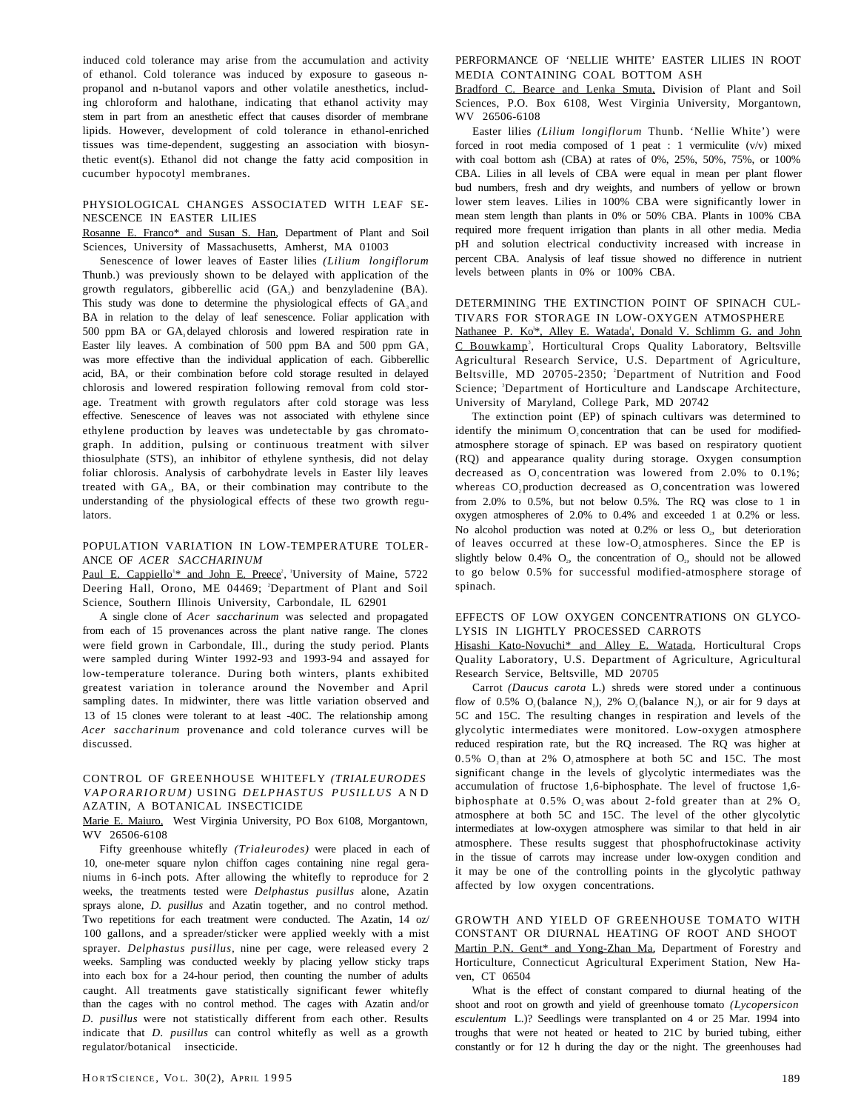induced cold tolerance may arise from the accumulation and activity of ethanol. Cold tolerance was induced by exposure to gaseous npropanol and n-butanol vapors and other volatile anesthetics, including chloroform and halothane, indicating that ethanol activity may stem in part from an anesthetic effect that causes disorder of membrane lipids. However, development of cold tolerance in ethanol-enriched tissues was time-dependent, suggesting an association with biosynthetic event(s). Ethanol did not change the fatty acid composition in cucumber hypocotyl membranes.

#### PHYSIOLOGICAL CHANGES ASSOCIATED WITH LEAF SE-NESCENCE IN EASTER LILIES

Rosanne E. Franco\* and Susan S. Han, Department of Plant and Soil Sciences, University of Massachusetts, Amherst, MA 01003

Senescence of lower leaves of Easter lilies *(Lilium longiflorum* Thunb.) was previously shown to be delayed with application of the growth regulators, gibberellic acid (GA<sub>3</sub>) and benzyladenine (BA). This study was done to determine the physiological effects of  $GA_3$  and BA in relation to the delay of leaf senescence. Foliar application with 500 ppm BA or GA<sub>3</sub> delayed chlorosis and lowered respiration rate in Easter lily leaves. A combination of 500 ppm BA and 500 ppm  $GA_3$ was more effective than the individual application of each. Gibberellic acid, BA, or their combination before cold storage resulted in delayed chlorosis and lowered respiration following removal from cold storage. Treatment with growth regulators after cold storage was less effective. Senescence of leaves was not associated with ethylene since ethylene production by leaves was undetectable by gas chromatograph. In addition, pulsing or continuous treatment with silver thiosulphate (STS), an inhibitor of ethylene synthesis, did not delay foliar chlorosis. Analysis of carbohydrate levels in Easter lily leaves treated with GA<sub>3</sub>, BA, or their combination may contribute to the understanding of the physiological effects of these two growth regulators.

#### POPULATION VARIATION IN LOW-TEMPERATURE TOLER-ANCE OF *ACER SACCHARINUM*

Paul E. Cappiello<sup>1\*</sup> and John E. Preece<sup>2</sup>, University of Maine, 5722 Deering Hall, Orono, ME 04469; <sup>2</sup>Department of Plant and Soil Science, Southern Illinois University, Carbondale, IL 62901

A single clone of *Acer saccharinum* was selected and propagated from each of 15 provenances across the plant native range. The clones were field grown in Carbondale, Ill., during the study period. Plants were sampled during Winter 1992-93 and 1993-94 and assayed for low-temperature tolerance. During both winters, plants exhibited greatest variation in tolerance around the November and April sampling dates. In midwinter, there was little variation observed and 13 of 15 clones were tolerant to at least -40C. The relationship among *Acer saccharinum* provenance and cold tolerance curves will be discussed.

#### CONTROL OF GREENHOUSE WHITEFLY *(TRIALEURODES VAPORARIORUM)* USING *DELPHASTUS PUSILLUS* A N D AZATIN, A BOTANICAL INSECTICIDE

Marie E. Maiuro, West Virginia University, PO Box 6108, Morgantown, WV 26506-6108

Fifty greenhouse whitefly *(Trialeurodes)* were placed in each of 10, one-meter square nylon chiffon cages containing nine regal geraniums in 6-inch pots. After allowing the whitefly to reproduce for 2 weeks, the treatments tested were *Delphastus pusillus* alone, Azatin sprays alone, *D. pusillus* and Azatin together, and no control method. Two repetitions for each treatment were conducted. The Azatin, 14 oz/ 100 gallons, and a spreader/sticker were applied weekly with a mist sprayer. *Delphastus pusillus,* nine per cage, were released every 2 weeks. Sampling was conducted weekly by placing yellow sticky traps into each box for a 24-hour period, then counting the number of adults caught. All treatments gave statistically significant fewer whitefly than the cages with no control method. The cages with Azatin and/or *D. pusillus* were not statistically different from each other. Results indicate that *D. pusillus* can control whitefly as well as a growth regulator/botanical insecticide.

PERFORMANCE OF 'NELLIE WHITE' EASTER LILIES IN ROOT MEDIA CONTAINING COAL BOTTOM ASH

Bradford C. Bearce and Lenka Smuta, Division of Plant and Soil Sciences, P.O. Box 6108, West Virginia University, Morgantown, WV 26506-6108

Easter lilies *(Lilium longiflorum* Thunb. 'Nellie White') were forced in root media composed of 1 peat : 1 vermiculite  $(v/v)$  mixed with coal bottom ash (CBA) at rates of 0%, 25%, 50%, 75%, or 100% CBA. Lilies in all levels of CBA were equal in mean per plant flower bud numbers, fresh and dry weights, and numbers of yellow or brown lower stem leaves. Lilies in 100% CBA were significantly lower in mean stem length than plants in 0% or 50% CBA. Plants in 100% CBA required more frequent irrigation than plants in all other media. Media pH and solution electrical conductivity increased with increase in percent CBA. Analysis of leaf tissue showed no difference in nutrient levels between plants in 0% or 100% CBA.

#### DETERMINING THE EXTINCTION POINT OF SPINACH CUL-TIVARS FOR STORAGE IN LOW-OXYGEN ATMOSPHERE

Nathanee P. Ko<sup>\*\*</sup>, Alley E. Watada<sup>1</sup>, Donald V. Schlimm G. and John C Bouwkamp<sup>3</sup>, Horticultural Crops Quality Laboratory, Beltsville Agricultural Research Service, U.S. Department of Agriculture, Beltsville, MD 20705-2350; <sup>2</sup>Department of Nutrition and Food Science; <sup>3</sup>Department of Horticulture and Landscape Architecture, University of Maryland, College Park, MD 20742

The extinction point (EP) of spinach cultivars was determined to identify the minimum O<sub>2</sub> concentration that can be used for modifiedatmosphere storage of spinach. EP was based on respiratory quotient (RQ) and appearance quality during storage. Oxygen consumption decreased as  $O_2$  concentration was lowered from 2.0% to 0.1%; whereas  $CO<sub>2</sub>$  production decreased as  $O<sub>2</sub>$  concentration was lowered from 2.0% to 0.5%, but not below 0.5%. The RQ was close to 1 in oxygen atmospheres of 2.0% to 0.4% and exceeded 1 at 0.2% or less. No alcohol production was noted at  $0.2%$  or less  $O<sub>2</sub>$ , but deterioration of leaves occurred at these low-O<sub>2</sub> atmospheres. Since the EP is slightly below  $0.4\%$  O<sub>2</sub>, the concentration of O<sub>2</sub>, should not be allowed to go below 0.5% for successful modified-atmosphere storage of spinach.

# EFFECTS OF LOW OXYGEN CONCENTRATIONS ON GLYCO-LYSIS IN LIGHTLY PROCESSED CARROTS

Hisashi Kato-Novuchi\* and Alley E. Watada, Horticultural Crops Quality Laboratory, U.S. Department of Agriculture, Agricultural Research Service, Beltsville, MD 20705

Carrot *(Daucus carota* L.) shreds were stored under a continuous flow of 0.5%  $O_2$  (balance N<sub>2</sub>), 2%  $O_2$  (balance N<sub>2</sub>), or air for 9 days at 5C and 15C. The resulting changes in respiration and levels of the glycolytic intermediates were monitored. Low-oxygen atmosphere reduced respiration rate, but the RQ increased. The RQ was higher at  $0.5\%$  O<sub>2</sub> than at 2% O<sub>2</sub> atmosphere at both 5C and 15C. The most significant change in the levels of glycolytic intermediates was the accumulation of fructose 1,6-biphosphate. The level of fructose 1,6 biphosphate at  $0.5\%$  O, was about 2-fold greater than at 2% O, atmosphere at both 5C and 15C. The level of the other glycolytic intermediates at low-oxygen atmosphere was similar to that held in air atmosphere. These results suggest that phosphofructokinase activity in the tissue of carrots may increase under low-oxygen condition and it may be one of the controlling points in the glycolytic pathway affected by low oxygen concentrations.

GROWTH AND YIELD OF GREENHOUSE TOMATO WITH CONSTANT OR DIURNAL HEATING OF ROOT AND SHOOT Martin P.N. Gent\* and Yong-Zhan Ma, Department of Forestry and Horticulture, Connecticut Agricultural Experiment Station, New Haven, CT 06504

What is the effect of constant compared to diurnal heating of the shoot and root on growth and yield of greenhouse tomato *(Lycopersicon esculentum* L.)? Seedlings were transplanted on 4 or 25 Mar. 1994 into troughs that were not heated or heated to 21C by buried tubing, either constantly or for 12 h during the day or the night. The greenhouses had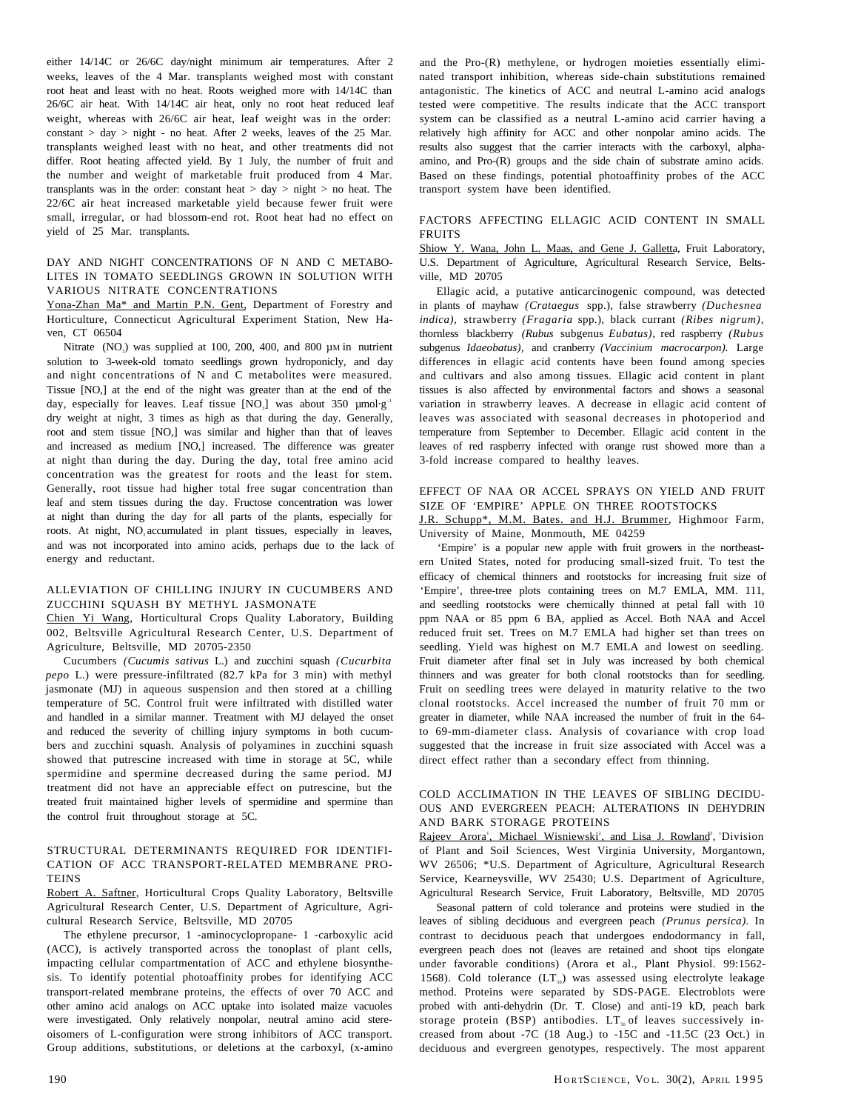either 14/14C or 26/6C day/night minimum air temperatures. After 2 weeks, leaves of the 4 Mar. transplants weighed most with constant root heat and least with no heat. Roots weighed more with 14/14C than 26/6C air heat. With 14/14C air heat, only no root heat reduced leaf weight, whereas with 26/6C air heat, leaf weight was in the order: constant  $> day$   $>$  night - no heat. After 2 weeks, leaves of the 25 Mar. transplants weighed least with no heat, and other treatments did not differ. Root heating affected yield. By 1 July, the number of fruit and the number and weight of marketable fruit produced from 4 Mar. transplants was in the order: constant heat  $>$  day  $>$  night  $>$  no heat. The 22/6C air heat increased marketable yield because fewer fruit were small, irregular, or had blossom-end rot. Root heat had no effect on yield of 25 Mar. transplants.

#### DAY AND NIGHT CONCENTRATIONS OF N AND C METABO-LITES IN TOMATO SEEDLINGS GROWN IN SOLUTION WITH VARIOUS NITRATE CONCENTRATIONS

Yona-Zhan Ma\* and Martin P.N. Gent, Department of Forestry and Horticulture, Connecticut Agricultural Experiment Station, New Haven, CT 06504

Nitrate (NO<sub>3</sub>) was supplied at 100, 200, 400, and 800  $\mu$ M in nutrient solution to 3-week-old tomato seedlings grown hydroponicly, and day and night concentrations of N and C metabolites were measured. Tissue [NO,] at the end of the night was greater than at the end of the day, especially for leaves. Leaf tissue  $[NO_3]$  was about 350  $\mu$ mol·g<sup>-1</sup> dry weight at night, 3 times as high as that during the day. Generally, root and stem tissue [NO,] was similar and higher than that of leaves and increased as medium [NO,] increased. The difference was greater at night than during the day. During the day, total free amino acid concentration was the greatest for roots and the least for stem. Generally, root tissue had higher total free sugar concentration than leaf and stem tissues during the day. Fructose concentration was lower at night than during the day for all parts of the plants, especially for roots. At night, NO<sub>3</sub> accumulated in plant tissues, especially in leaves, and was not incorporated into amino acids, perhaps due to the lack of energy and reductant.

# ALLEVIATION OF CHILLING INJURY IN CUCUMBERS AND ZUCCHINI SOUASH BY METHYL JASMONATE

Chien Yi Wang, Horticultural Crops Quality Laboratory, Building 002, Beltsville Agricultural Research Center, U.S. Department of Agriculture, Beltsville, MD 20705-2350

Cucumbers *(Cucumis sativus* L.) and zucchini squash *(Cucurbita pepo* L.) were pressure-infiltrated (82.7 kPa for 3 min) with methyl jasmonate (MJ) in aqueous suspension and then stored at a chilling temperature of 5C. Control fruit were infiltrated with distilled water and handled in a similar manner. Treatment with MJ delayed the onset and reduced the severity of chilling injury symptoms in both cucumbers and zucchini squash. Analysis of polyamines in zucchini squash showed that putrescine increased with time in storage at 5C, while spermidine and spermine decreased during the same period. MJ treatment did not have an appreciable effect on putrescine, but the treated fruit maintained higher levels of spermidine and spermine than the control fruit throughout storage at 5C.

#### STRUCTURAL DETERMINANTS REQUIRED FOR IDENTIFI-CATION OF ACC TRANSPORT-RELATED MEMBRANE PRO-**TEINS**

Robert A. Saftner, Horticultural Crops Quality Laboratory, Beltsville Agricultural Research Center, U.S. Department of Agriculture, Agricultural Research Service, Beltsville, MD 20705

The ethylene precursor, 1 -aminocyclopropane- 1 -carboxylic acid (ACC), is actively transported across the tonoplast of plant cells, impacting cellular compartmentation of ACC and ethylene biosynthesis. To identify potential photoaffinity probes for identifying ACC transport-related membrane proteins, the effects of over 70 ACC and other amino acid analogs on ACC uptake into isolated maize vacuoles were investigated. Only relatively nonpolar, neutral amino acid stereoisomers of L-configuration were strong inhibitors of ACC transport. Group additions, substitutions, or deletions at the carboxyl, (x-amino

and the Pro-(R) methylene, or hydrogen moieties essentially eliminated transport inhibition, whereas side-chain substitutions remained antagonistic. The kinetics of ACC and neutral L-amino acid analogs tested were competitive. The results indicate that the ACC transport system can be classified as a neutral L-amino acid carrier having a relatively high affinity for ACC and other nonpolar amino acids. The results also suggest that the carrier interacts with the carboxyl, alphaamino, and Pro-(R) groups and the side chain of substrate amino acids. Based on these findings, potential photoaffinity probes of the ACC transport system have been identified.

#### FACTORS AFFECTING ELLAGIC ACID CONTENT IN SMALL FRUITS

Shiow Y. Wana, John L. Maas, and Gene J. Galletta, Fruit Laboratory, U.S. Department of Agriculture, Agricultural Research Service, Beltsville, MD 20705

Ellagic acid, a putative anticarcinogenic compound, was detected in plants of mayhaw *(Crataegus* spp.), false strawberry *(Duchesnea indica),* strawberry *(Fragaria* spp.), black currant *(Ribes nigrum),* thornless blackberry *(Rubus* subgenus *Eubatus),* red raspberry *(Rubus* subgenus *Idaeobatus),* and cranberry *(Vaccinium macrocarpon).* Large differences in ellagic acid contents have been found among species and cultivars and also among tissues. Ellagic acid content in plant tissues is also affected by environmental factors and shows a seasonal variation in strawberry leaves. A decrease in ellagic acid content of leaves was associated with seasonal decreases in photoperiod and temperature from September to December. Ellagic acid content in the leaves of red raspberry infected with orange rust showed more than a 3-fold increase compared to healthy leaves.

# EFFECT OF NAA OR ACCEL SPRAYS ON YIELD AND FRUIT SIZE OF 'EMPIRE' APPLE ON THREE ROOTSTOCKS

J.R. Schupp\*, M.M. Bates. and H.J. Brummer, Highmoor Farm, University of Maine, Monmouth, ME 04259

'Empire' is a popular new apple with fruit growers in the northeastern United States, noted for producing small-sized fruit. To test the efficacy of chemical thinners and rootstocks for increasing fruit size of 'Empire', three-tree plots containing trees on M.7 EMLA, MM. 111, and seedling rootstocks were chemically thinned at petal fall with 10 ppm NAA or 85 ppm 6 BA, applied as Accel. Both NAA and Accel reduced fruit set. Trees on M.7 EMLA had higher set than trees on seedling. Yield was highest on M.7 EMLA and lowest on seedling. Fruit diameter after final set in July was increased by both chemical thinners and was greater for both clonal rootstocks than for seedling. Fruit on seedling trees were delayed in maturity relative to the two clonal rootstocks. Accel increased the number of fruit 70 mm or greater in diameter, while NAA increased the number of fruit in the 64 to 69-mm-diameter class. Analysis of covariance with crop load suggested that the increase in fruit size associated with Accel was a direct effect rather than a secondary effect from thinning.

# COLD ACCLIMATION IN THE LEAVES OF SIBLING DECIDU-OUS AND EVERGREEN PEACH: ALTERATIONS IN DEHYDRIN AND BARK STORAGE PROTEINS

Rajeev Arora<sup>'</sup>, Michael Wisniewski<sup>2</sup>, and Lisa J. Rowland<sup>3</sup>, <sup>1</sup>Division of Plant and Soil Sciences, West Virginia University, Morgantown, WV 26506; \*U.S. Department of Agriculture, Agricultural Research Service, Kearneysville, WV 25430; U.S. Department of Agriculture, Agricultural Research Service, Fruit Laboratory, Beltsville, MD 20705

Seasonal pattern of cold tolerance and proteins were studied in the leaves of sibling deciduous and evergreen peach *(Prunus persica).* In contrast to deciduous peach that undergoes endodormancy in fall, evergreen peach does not (leaves are retained and shoot tips elongate under favorable conditions) (Arora et al., Plant Physiol. 99:1562- 1568). Cold tolerance  $(LT_{50})$  was assessed using electrolyte leakage method. Proteins were separated by SDS-PAGE. Electroblots were probed with anti-dehydrin (Dr. T. Close) and anti-19 kD, peach bark storage protein (BSP) antibodies.  $LT_{50}$  of leaves successively increased from about -7C (18 Aug.) to -15C and -11.5C (23 Oct.) in deciduous and evergreen genotypes, respectively. The most apparent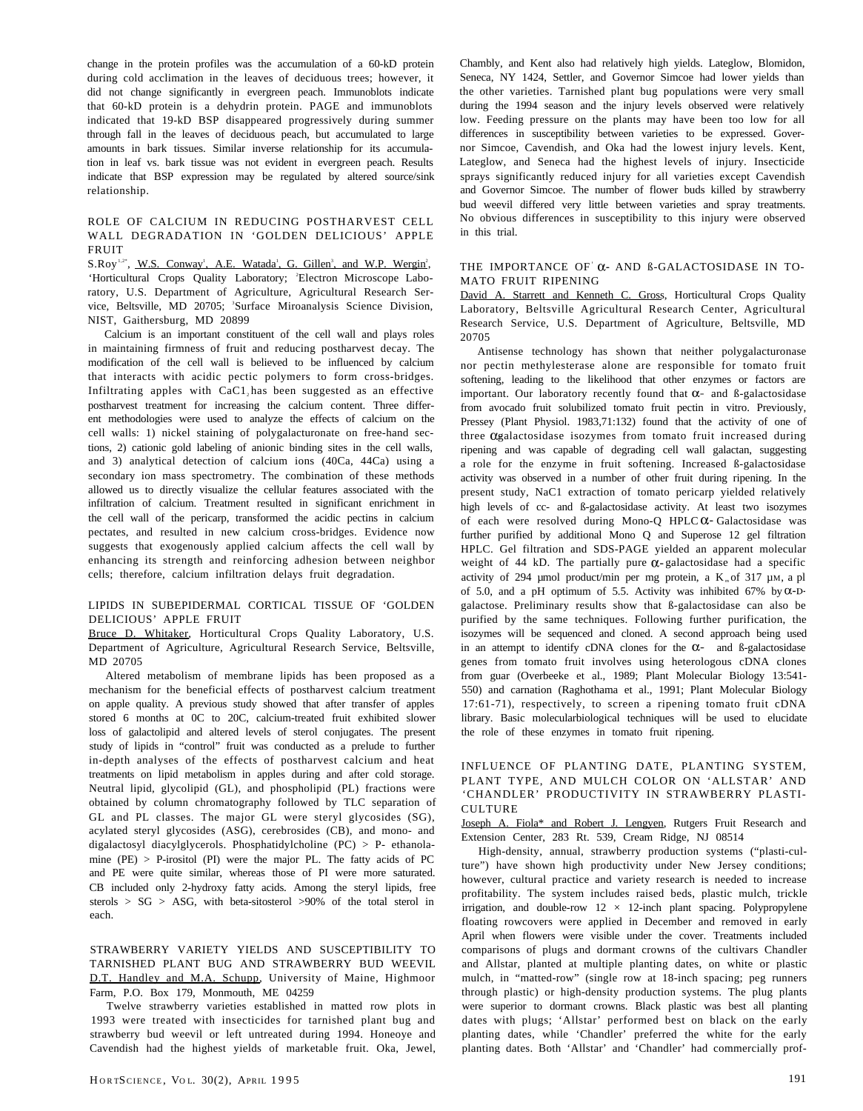change in the protein profiles was the accumulation of a 60-kD protein during cold acclimation in the leaves of deciduous trees; however, it did not change significantly in evergreen peach. Immunoblots indicate that 60-kD protein is a dehydrin protein. PAGE and immunoblots indicated that 19-kD BSP disappeared progressively during summer through fall in the leaves of deciduous peach, but accumulated to large amounts in bark tissues. Similar inverse relationship for its accumulation in leaf vs. bark tissue was not evident in evergreen peach. Results indicate that BSP expression may be regulated by altered source/sink relationship.

## ROLE OF CALCIUM IN REDUCING POSTHARVEST CELL WALL DEGRADATION IN 'GOLDEN DELICIOUS' APPLE FRUIT

S.Roy<sup>1,2\*</sup>, W.S. Conway<sup>1</sup>, A.E. Watada<sup>1</sup>, G. Gillen<sup>3</sup>, and W.P. Wergin<sup>2</sup>, 'Horticultural Crops Quality Laboratory; 'Electron Microscope Laboratory, U.S. Department of Agriculture, Agricultural Research Service, Beltsville, MD 20705; 'Surface Miroanalysis Science Division, NIST, Gaithersburg, MD 20899

Calcium is an important constituent of the cell wall and plays roles in maintaining firmness of fruit and reducing postharvest decay. The modification of the cell wall is believed to be influenced by calcium that interacts with acidic pectic polymers to form cross-bridges. Infiltrating apples with CaC1, has been suggested as an effective postharvest treatment for increasing the calcium content. Three different methodologies were used to analyze the effects of calcium on the cell walls: 1) nickel staining of polygalacturonate on free-hand sections, 2) cationic gold labeling of anionic binding sites in the cell walls, and 3) analytical detection of calcium ions (40Ca, 44Ca) using a secondary ion mass spectrometry. The combination of these methods allowed us to directly visualize the cellular features associated with the infiltration of calcium. Treatment resulted in significant enrichment in the cell wall of the pericarp, transformed the acidic pectins in calcium pectates, and resulted in new calcium cross-bridges. Evidence now suggests that exogenously applied calcium affects the cell wall by enhancing its strength and reinforcing adhesion between neighbor cells; therefore, calcium infiltration delays fruit degradation.

# LIPIDS IN SUBEPIDERMAL CORTICAL TISSUE OF 'GOLDEN DELICIOUS' APPLE FRUIT

Bruce D. Whitaker, Horticultural Crops Quality Laboratory, U.S. Department of Agriculture, Agricultural Research Service, Beltsville, MD 20705

Altered metabolism of membrane lipids has been proposed as a mechanism for the beneficial effects of postharvest calcium treatment on apple quality. A previous study showed that after transfer of apples stored 6 months at 0C to 20C, calcium-treated fruit exhibited slower loss of galactolipid and altered levels of sterol conjugates. The present study of lipids in "control" fruit was conducted as a prelude to further in-depth analyses of the effects of postharvest calcium and heat treatments on lipid metabolism in apples during and after cold storage. Neutral lipid, glycolipid (GL), and phospholipid (PL) fractions were obtained by column chromatography followed by TLC separation of GL and PL classes. The major GL were steryl glycosides (SG), acylated steryl glycosides (ASG), cerebrosides (CB), and mono- and digalactosyl diacylglycerols. Phosphatidylcholine (PC) > P- ethanolamine (PE)  $>$  P-irositol (PI) were the major PL. The fatty acids of PC and PE were quite similar, whereas those of PI were more saturated. CB included only 2-hydroxy fatty acids. Among the steryl lipids, free sterols >  $SG$  > ASG, with beta-sitosterol >90% of the total sterol in each.

STRAWBERRY VARIETY YIELDS AND SUSCEPTIBILITY TO TARNISHED PLANT BUG AND STRAWBERRY BUD WEEVIL D.T. Handley and M.A. Schupp, University of Maine, Highmoor Farm, P.O. Box 179, Monmouth, ME 04259

Twelve strawberry varieties established in matted row plots in 1993 were treated with insecticides for tarnished plant bug and strawberry bud weevil or left untreated during 1994. Honeoye and Cavendish had the highest yields of marketable fruit. Oka, Jewel, Chambly, and Kent also had relatively high yields. Lateglow, Blomidon, Seneca, NY 1424, Settler, and Governor Simcoe had lower yields than the other varieties. Tarnished plant bug populations were very small during the 1994 season and the injury levels observed were relatively low. Feeding pressure on the plants may have been too low for all differences in susceptibility between varieties to be expressed. Governor Simcoe, Cavendish, and Oka had the lowest injury levels. Kent, Lateglow, and Seneca had the highest levels of injury. Insecticide sprays significantly reduced injury for all varieties except Cavendish and Governor Simcoe. The number of flower buds killed by strawberry bud weevil differed very little between varieties and spray treatments. No obvious differences in susceptibility to this injury were observed in this trial.

#### THE IMPORTANCE OF  $\alpha$ - AND  $\beta$ -GALACTOSIDASE IN TO-MATO FRUIT RIPENING

David A. Starrett and Kenneth C. Gross, Horticultural Crops Quality Laboratory, Beltsville Agricultural Research Center, Agricultural Research Service, U.S. Department of Agriculture, Beltsville, MD 20705

Antisense technology has shown that neither polygalacturonase nor pectin methylesterase alone are responsible for tomato fruit softening, leading to the likelihood that other enzymes or factors are important. Our laboratory recently found that  $\alpha$ - and B-galactosidase from avocado fruit solubilized tomato fruit pectin in vitro. Previously, Pressey (Plant Physiol. 1983,71:132) found that the activity of one of three  $\alpha$  galactosidase isozymes from tomato fruit increased during ripening and was capable of degrading cell wall galactan, suggesting a role for the enzyme in fruit softening. Increased ß-galactosidase activity was observed in a number of other fruit during ripening. In the present study, NaC1 extraction of tomato pericarp yielded relatively high levels of cc- and ß-galactosidase activity. At least two isozymes of each were resolved during Mono-Q HPLC  $\alpha$ - Galactosidase was further purified by additional Mono Q and Superose 12 gel filtration HPLC. Gel filtration and SDS-PAGE yielded an apparent molecular weight of 44 kD. The partially pure  $\alpha$ -galactosidase had a specific activity of 294 µmol product/min per mg protein, a  $K_{m}$  of 317 µM, a pl of 5.0, and a pH optimum of 5.5. Activity was inhibited 67% by  $\alpha$ -Dgalactose. Preliminary results show that ß-galactosidase can also be purified by the same techniques. Following further purification, the isozymes will be sequenced and cloned. A second approach being used in an attempt to identify cDNA clones for the  $\alpha$ - and ß-galactosidase genes from tomato fruit involves using heterologous cDNA clones from guar (Overbeeke et al., 1989; Plant Molecular Biology 13:541- 550) and carnation (Raghothama et al., 1991; Plant Molecular Biology 17:61-71), respectively, to screen a ripening tomato fruit cDNA library. Basic molecularbiological techniques will be used to elucidate the role of these enzymes in tomato fruit ripening.

#### INFLUENCE OF PLANTING DATE, PLANTING SYSTEM, PLANT TYPE, AND MULCH COLOR ON 'ALLSTAR' AND 'CHANDLER' PRODUCTIVITY IN STRAWBERRY PLASTI-**CULTURE**

Joseph A. Fiola\* and Robert J. Lengyen, Rutgers Fruit Research and Extension Center, 283 Rt. 539, Cream Ridge, NJ 08514

High-density, annual, strawberry production systems ("plasti-culture") have shown high productivity under New Jersey conditions; however, cultural practice and variety research is needed to increase profitability. The system includes raised beds, plastic mulch, trickle irrigation, and double-row  $12 \times 12$ -inch plant spacing. Polypropylene floating rowcovers were applied in December and removed in early April when flowers were visible under the cover. Treatments included comparisons of plugs and dormant crowns of the cultivars Chandler and Allstar, planted at multiple planting dates, on white or plastic mulch, in "matted-row" (single row at 18-inch spacing; peg runners through plastic) or high-density production systems. The plug plants were superior to dormant crowns. Black plastic was best all planting dates with plugs; 'Allstar' performed best on black on the early planting dates, while 'Chandler' preferred the white for the early planting dates. Both 'Allstar' and 'Chandler' had commercially prof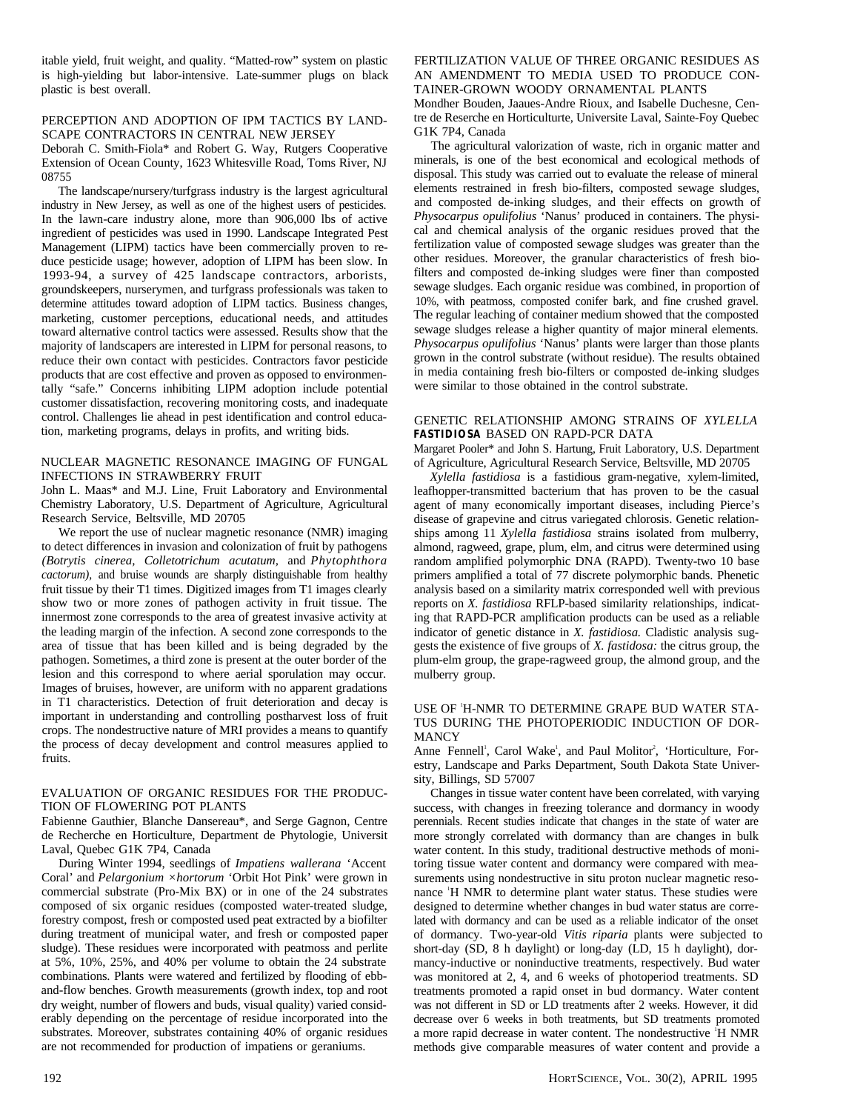itable yield, fruit weight, and quality. "Matted-row" system on plastic is high-yielding but labor-intensive. Late-summer plugs on black plastic is best overall.

#### PERCEPTION AND ADOPTION OF IPM TACTICS BY LAND-SCAPE CONTRACTORS IN CENTRAL NEW JERSEY

Deborah C. Smith-Fiola\* and Robert G. Way, Rutgers Cooperative Extension of Ocean County, 1623 Whitesville Road, Toms River, NJ 08755

The landscape/nursery/turfgrass industry is the largest agricultural industry in New Jersey, as well as one of the highest users of pesticides. In the lawn-care industry alone, more than 906,000 lbs of active ingredient of pesticides was used in 1990. Landscape Integrated Pest Management (LIPM) tactics have been commercially proven to reduce pesticide usage; however, adoption of LIPM has been slow. In 1993-94, a survey of 425 landscape contractors, arborists, groundskeepers, nurserymen, and turfgrass professionals was taken to determine attitudes toward adoption of LIPM tactics. Business changes, marketing, customer perceptions, educational needs, and attitudes toward alternative control tactics were assessed. Results show that the majority of landscapers are interested in LIPM for personal reasons, to reduce their own contact with pesticides. Contractors favor pesticide products that are cost effective and proven as opposed to environmentally "safe." Concerns inhibiting LIPM adoption include potential customer dissatisfaction, recovering monitoring costs, and inadequate control. Challenges lie ahead in pest identification and control education, marketing programs, delays in profits, and writing bids.

# NUCLEAR MAGNETIC RESONANCE IMAGING OF FUNGAL INFECTIONS IN STRAWBERRY FRUIT

John L. Maas\* and M.J. Line, Fruit Laboratory and Environmental Chemistry Laboratory, U.S. Department of Agriculture, Agricultural Research Service, Beltsville, MD 20705

We report the use of nuclear magnetic resonance (NMR) imaging to detect differences in invasion and colonization of fruit by pathogens *(Botrytis cinerea, Colletotrichum acutatum,* and *Phytophthora cactorum),* and bruise wounds are sharply distinguishable from healthy fruit tissue by their T1 times. Digitized images from T1 images clearly show two or more zones of pathogen activity in fruit tissue. The innermost zone corresponds to the area of greatest invasive activity at the leading margin of the infection. A second zone corresponds to the area of tissue that has been killed and is being degraded by the pathogen. Sometimes, a third zone is present at the outer border of the lesion and this correspond to where aerial sporulation may occur. Images of bruises, however, are uniform with no apparent gradations in T1 characteristics. Detection of fruit deterioration and decay is important in understanding and controlling postharvest loss of fruit crops. The nondestructive nature of MRI provides a means to quantify the process of decay development and control measures applied to fruits.

# EVALUATION OF ORGANIC RESIDUES FOR THE PRODUC-TION OF FLOWERING POT PLANTS

Fabienne Gauthier, Blanche Dansereau\*, and Serge Gagnon, Centre de Recherche en Horticulture, Department de Phytologie, Universit Laval, Quebec G1K 7P4, Canada

During Winter 1994, seedlings of *Impatiens wallerana* 'Accent Coral' and *Pelargonium ×hortorum* 'Orbit Hot Pink' were grown in commercial substrate (Pro-Mix BX) or in one of the 24 substrates composed of six organic residues (composted water-treated sludge, forestry compost, fresh or composted used peat extracted by a biofilter during treatment of municipal water, and fresh or composted paper sludge). These residues were incorporated with peatmoss and perlite at 5%, 10%, 25%, and 40% per volume to obtain the 24 substrate combinations. Plants were watered and fertilized by flooding of ebband-flow benches. Growth measurements (growth index, top and root dry weight, number of flowers and buds, visual quality) varied considerably depending on the percentage of residue incorporated into the substrates. Moreover, substrates containing 40% of organic residues are not recommended for production of impatiens or geraniums.

# FERTILIZATION VALUE OF THREE ORGANIC RESIDUES AS AN AMENDMENT TO MEDIA USED TO PRODUCE CON-TAINER-GROWN WOODY ORNAMENTAL PLANTS

Mondher Bouden, Jaaues-Andre Rioux, and Isabelle Duchesne, Centre de Reserche en Horticulturte, Universite Laval, Sainte-Foy Quebec G1K 7P4, Canada

The agricultural valorization of waste, rich in organic matter and minerals, is one of the best economical and ecological methods of disposal. This study was carried out to evaluate the release of mineral elements restrained in fresh bio-filters, composted sewage sludges, and composted de-inking sludges, and their effects on growth of *Physocarpus opulifolius* 'Nanus' produced in containers. The physical and chemical analysis of the organic residues proved that the fertilization value of composted sewage sludges was greater than the other residues. Moreover, the granular characteristics of fresh biofilters and composted de-inking sludges were finer than composted sewage sludges. Each organic residue was combined, in proportion of 10%, with peatmoss, composted conifer bark, and fine crushed gravel. The regular leaching of container medium showed that the composted sewage sludges release a higher quantity of major mineral elements. *Physocarpus opulifolius* 'Nanus' plants were larger than those plants grown in the control substrate (without residue). The results obtained in media containing fresh bio-filters or composted de-inking sludges were similar to those obtained in the control substrate.

# GENETIC RELATIONSHIP AMONG STRAINS OF *XYLELLA FASTIDIOSA* BASED ON RAPD-PCR DATA

Margaret Pooler\* and John S. Hartung, Fruit Laboratory, U.S. Department of Agriculture, Agricultural Research Service, Beltsville, MD 20705

*Xylella fastidiosa* is a fastidious gram-negative, xylem-limited, leafhopper-transmitted bacterium that has proven to be the casual agent of many economically important diseases, including Pierce's disease of grapevine and citrus variegated chlorosis. Genetic relationships among 11 *Xylella fastidiosa* strains isolated from mulberry, almond, ragweed, grape, plum, elm, and citrus were determined using random amplified polymorphic DNA (RAPD). Twenty-two 10 base primers amplified a total of 77 discrete polymorphic bands. Phenetic analysis based on a similarity matrix corresponded well with previous reports on *X. fastidiosa* RFLP-based similarity relationships, indicating that RAPD-PCR amplification products can be used as a reliable indicator of genetic distance in *X. fastidiosa.* Cladistic analysis suggests the existence of five groups of *X. fastidosa:* the citrus group, the plum-elm group, the grape-ragweed group, the almond group, and the mulberry group.

# USE OF 1H-NMR TO DETERMINE GRAPE BUD WATER STA-TUS DURING THE PHOTOPERIODIC INDUCTION OF DOR-**MANCY**

Anne Fennell<sup>1</sup>, Carol Wake<sup>1</sup>, and Paul Molitor<sup>2</sup>, 'Horticulture, Forestry, Landscape and Parks Department, South Dakota State University, Billings, SD 57007

Changes in tissue water content have been correlated, with varying success, with changes in freezing tolerance and dormancy in woody perennials. Recent studies indicate that changes in the state of water are more strongly correlated with dormancy than are changes in bulk water content. In this study, traditional destructive methods of monitoring tissue water content and dormancy were compared with measurements using nondestructive in situ proton nuclear magnetic resonance <sup>1</sup>H NMR to determine plant water status. These studies were designed to determine whether changes in bud water status are correlated with dormancy and can be used as a reliable indicator of the onset of dormancy. Two-year-old *Vitis riparia* plants were subjected to short-day (SD, 8 h daylight) or long-day (LD, 15 h daylight), dormancy-inductive or noninductive treatments, respectively. Bud water was monitored at 2, 4, and 6 weeks of photoperiod treatments. SD treatments promoted a rapid onset in bud dormancy. Water content was not different in SD or LD treatments after 2 weeks. However, it did decrease over 6 weeks in both treatments, but SD treatments promoted a more rapid decrease in water content. The nondestructive <sup>1</sup>H NMR methods give comparable measures of water content and provide a